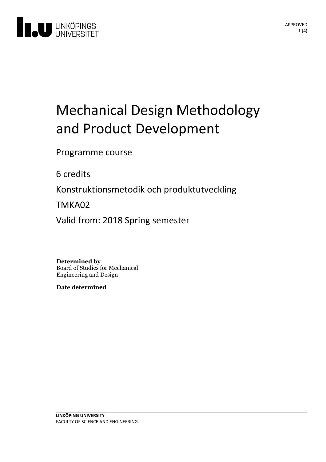

# Mechanical Design Methodology and Product Development

Programme course

6 credits

Konstruktionsmetodik och produktutveckling

TMKA02

Valid from: 2018 Spring semester

**Determined by** Board of Studies for Mechanical Engineering and Design

**Date determined**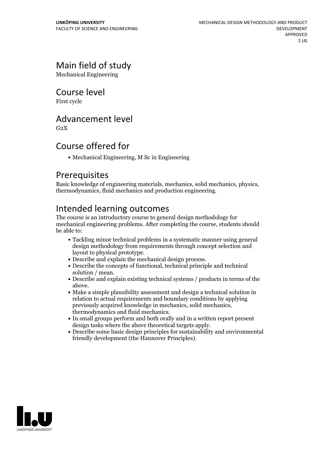### Main field of study

Mechanical Engineering

#### Course level

First cycle

#### Advancement level

 $G<sub>2</sub>X$ 

#### Course offered for

Mechanical Engineering, M Sc in Engineering

#### Prerequisites

Basic knowledge of engineering materials, mechanics, solid mechanics, physics, thermodynamics, fluid mechanics and production engineering.

#### Intended learning outcomes

The course is an introductory course to general design methodology for mechanical engineering problems. After completing the course, students should be able to:

- Tackling minor technical problems in a systematic manner using general design methodology from requirements through concept selection and layout to physical prototype.<br>• Describe and explain the mechanical design process.<br>• Describe the concepts of functional, technical principle and technical
- 
- 
- solution / mean.<br>• Describe and explain existing technical systems / products in terms of the above. Make <sup>a</sup> simple plausibility assessment and design <sup>a</sup> technical solution in
- relation to actual requirements and boundary conditions by applying previously acquired knowledge in mechanics.<br>In small groups perform and both orally and in a written report present<br>orally and in a written report present
- design tasks where the above theoretical targets apply.<br>• Describe some basic design principles for sustainability and environmental
- friendly development (the Hannover Principles).

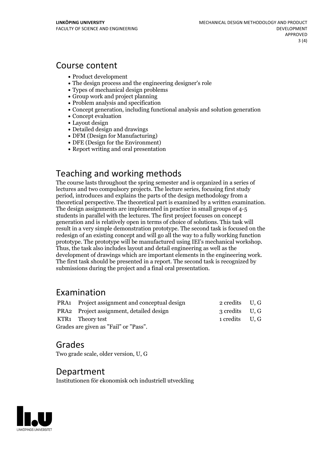#### Course content

- Product development
- The design process and the engineering designer's role
- Types of mechanical design problems
- Group work and project planning
- Problem analysis and specification
- Concept generation, including functional analysis and solution generation
- Concept evaluation
- Layout design
- Detailed design and drawings
- DFM (Design for Manufacturing)
- DFE (Design for the Environment)
- Report writing and oral presentation

#### Teaching and working methods

The course lasts throughout the spring semester and is organized in a series of lectures and two compulsory projects. The lecture series, focusing first study period, introduces and explains the parts of the design methodology from a theoretical perspective. The theoretical part is examined by <sup>a</sup> written examination. The design assignments are implemented in practice in small groups of 4-5 students in parallel with the lectures. The first project focuses on concept generation and is relatively open in terms of choice of solutions. This task will result in a very simple demonstration prototype. The second task is focused on the redesign of an existing concept and will go all the way to a fully working function prototype. The prototype will be manufactured using IEI's mechanical workshop. Thus, the task also includes layout and detail engineering as well as the development of drawings which are important elements in the engineering work. The first task should be presented in <sup>a</sup> report. The second task is recognized by submissions during the project and a final oral presentation.

#### Examination

|                                       | PRA1 Project assignment and conceptual design | 2 credits U, G |  |
|---------------------------------------|-----------------------------------------------|----------------|--|
|                                       | PRA2 Project assignment, detailed design      | 3 credits U, G |  |
|                                       | KTR1 Theory test                              | 1 credits U.G  |  |
| Grades are given as "Fail" or "Pass". |                                               |                |  |

#### Grades

Two grade scale, older version, U, G

#### Department

Institutionen för ekonomisk och industriell utveckling